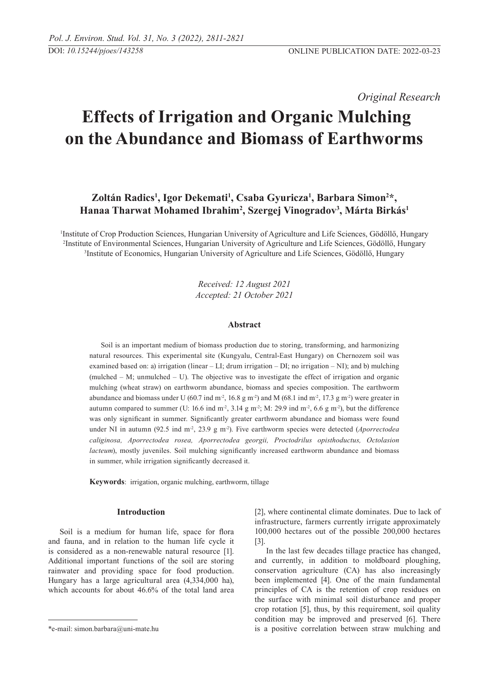*Original Research* 

# **Effects of Irrigation and Organic Mulching on the Abundance and Biomass of Earthworms**

# Zoltán Radics<sup>1</sup>, Igor Dekemati<sup>1</sup>, Csaba Gyuricza<sup>1</sup>, Barbara Simon<sup>2\*</sup>, **Hanaa Tharwat Mohamed Ibrahim2 , Szergej Vinogradov3 , Márta Birkás1**

1 Institute of Crop Production Sciences, Hungarian University of Agriculture and Life Sciences, Gödöllő, Hungary 2 Institute of Environmental Sciences, Hungarian University of Agriculture and Life Sciences, Gödöllő, Hungary 3 Institute of Economics, Hungarian University of Agriculture and Life Sciences, Gödöllő, Hungary

> *Received: 12 August 2021 Accepted: 21 October 2021*

### **Abstract**

Soil is an important medium of biomass production due to storing, transforming, and harmonizing natural resources. This experimental site (Kungyalu, Central-East Hungary) on Chernozem soil was examined based on: a) irrigation (linear – LI; drum irrigation – DI; no irrigation – NI); and b) mulching (mulched  $-$  M; unmulched  $-$  U). The objective was to investigate the effect of irrigation and organic mulching (wheat straw) on earthworm abundance, biomass and species composition. The earthworm abundance and biomass under U (60.7 ind m<sup>-2</sup>, 16.8 g m<sup>-2</sup>) and M (68.1 ind m<sup>-2</sup>, 17.3 g m<sup>-2</sup>) were greater in autumn compared to summer (U: 16.6 ind m<sup>-2</sup>, 3.14 g m<sup>-2</sup>; M: 29.9 ind m<sup>-2</sup>, 6.6 g m<sup>-2</sup>), but the difference was only significant in summer. Significantly greater earthworm abundance and biomass were found under NI in autumn (92.5 ind m<sup>-2</sup>, 23.9 g m<sup>-2</sup>). Five earthworm species were detected (*Aporrectodea caliginosa, Aporrectodea rosea, Aporrectodea georgii, Proctodrilus opisthoductus, Octolasion lacteum*), mostly juveniles. Soil mulching significantly increased earthworm abundance and biomass in summer, while irrigation significantly decreased it.

**Keywords**: irrigation, organic mulching, earthworm, tillage

# **Introduction**

Soil is a medium for human life, space for flora and fauna, and in relation to the human life cycle it is considered as a non-renewable natural resource [1]. Additional important functions of the soil are storing rainwater and providing space for food production. Hungary has a large agricultural area (4,334,000 ha), which accounts for about 46.6% of the total land area [2], where continental climate dominates. Due to lack of infrastructure, farmers currently irrigate approximately 100,000 hectares out of the possible 200,000 hectares [3].

In the last few decades tillage practice has changed, and currently, in addition to moldboard ploughing, conservation agriculture (CA) has also increasingly been implemented [4]. One of the main fundamental principles of CA is the retention of crop residues on the surface with minimal soil disturbance and proper crop rotation [5], thus, by this requirement, soil quality condition may be improved and preserved [6]. There is a positive correlation between straw mulching and

<sup>\*</sup>e-mail: simon.barbara@uni-mate.hu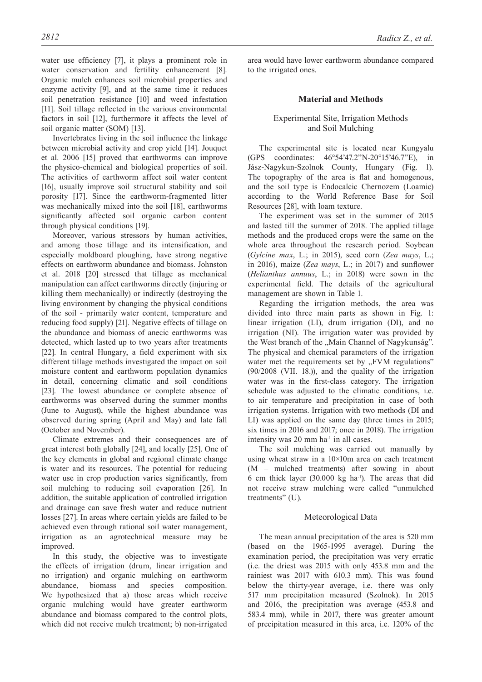water use efficiency [7], it plays a prominent role in water conservation and fertility enhancement [8].

Organic mulch enhances soil microbial properties and enzyme activity [9], and at the same time it reduces soil penetration resistance [10] and weed infestation [11]. Soil tillage reflected in the various environmental factors in soil [12], furthermore it affects the level of soil organic matter (SOM) [13].

Invertebrates living in the soil influence the linkage between microbial activity and crop yield [14]. Jouquet et al. 2006 [15] proved that earthworms can improve the physico-chemical and biological properties of soil. The activities of earthworm affect soil water content [16], usually improve soil structural stability and soil porosity [17]. Since the earthworm-fragmented litter was mechanically mixed into the soil [18], earthworms significantly affected soil organic carbon content through physical conditions [19].

Moreover, various stressors by human activities, and among those tillage and its intensification, and especially moldboard ploughing, have strong negative effects on earthworm abundance and biomass. Johnston et al. 2018 [20] stressed that tillage as mechanical manipulation can affect earthworms directly (injuring or killing them mechanically) or indirectly (destroying the living environment by changing the physical conditions of the soil - primarily water content, temperature and reducing food supply) [21]. Negative effects of tillage on the abundance and biomass of anecic earthworms was detected, which lasted up to two years after treatments [22]. In central Hungary, a field experiment with six different tillage methods investigated the impact on soil moisture content and earthworm population dynamics in detail, concerning climatic and soil conditions [23]. The lowest abundance or complete absence of earthworms was observed during the summer months (June to August), while the highest abundance was observed during spring (April and May) and late fall (October and November).

Climate extremes and their consequences are of great interest both globally [24], and locally [25]. One of the key elements in global and regional climate change is water and its resources. The potential for reducing water use in crop production varies significantly, from soil mulching to reducing soil evaporation [26]. In addition, the suitable application of controlled irrigation and drainage can save fresh water and reduce nutrient losses [27]. In areas where certain yields are failed to be achieved even through rational soil water management, irrigation as an agrotechnical measure may be improved.

In this study, the objective was to investigate the effects of irrigation (drum, linear irrigation and no irrigation) and organic mulching on earthworm abundance, biomass and species composition. We hypothesized that a) those areas which receive organic mulching would have greater earthworm abundance and biomass compared to the control plots, which did not receive mulch treatment; b) non-irrigated

area would have lower earthworm abundance compared to the irrigated ones.

# **Material and Methods**

# Experimental Site, Irrigation Methods and Soil Mulching

The experimental site is located near Kungyalu (GPS coordinates: 46°54'47.2"N-20°15'46.7"E), in Jász-Nagykun-Szolnok County, Hungary (Fig. 1). The topography of the area is flat and homogenous, and the soil type is Endocalcic Chernozem (Loamic) according to the World Reference Base for Soil Resources [28], with loam texture.

The experiment was set in the summer of 2015 and lasted till the summer of 2018. The applied tillage methods and the produced crops were the same on the whole area throughout the research period. Soybean (*Gylcine max*, L.; in 2015), seed corn (*Zea mays*, L.; in 2016), maize (*Zea mays*, L.; in 2017) and sunflower (*Helianthus annuus*, L.; in 2018) were sown in the experimental field. The details of the agricultural management are shown in Table 1.

Regarding the irrigation methods, the area was divided into three main parts as shown in Fig. 1: linear irrigation (LI), drum irrigation (DI), and no irrigation (NI). The irrigation water was provided by the West branch of the "Main Channel of Nagykunság". The physical and chemical parameters of the irrigation water met the requirements set by "FVM regulations" (90/2008 (VII. 18.)), and the quality of the irrigation water was in the first-class category. The irrigation schedule was adjusted to the climatic conditions, i.e. to air temperature and precipitation in case of both irrigation systems. Irrigation with two methods (DI and LI) was applied on the same day (three times in 2015; six times in 2016 and 2017; once in 2018). The irrigation intensity was 20 mm ha<sup>-1</sup> in all cases.

The soil mulching was carried out manually by using wheat straw in a  $10\times10$ m area on each treatment (M – mulched treatments) after sowing in about 6 cm thick layer  $(30.000 \text{ kg} \text{ ha}^{-1})$ . The areas that did not receive straw mulching were called "unmulched treatments" (U).

# Meteorological Data

The mean annual precipitation of the area is 520 mm (based on the 1965-1995 average). During the examination period, the precipitation was very erratic (i.e. the driest was 2015 with only 453.8 mm and the rainiest was 2017 with 610.3 mm). This was found below the thirty-year average, i.e. there was only 517 mm precipitation measured (Szolnok). In 2015 and 2016, the precipitation was average (453.8 and 583.4 mm), while in 2017, there was greater amount of precipitation measured in this area, i.e. 120% of the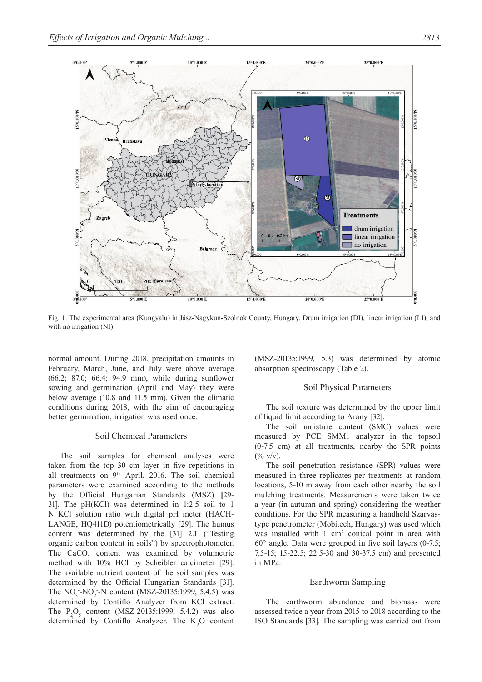

Fig. 1. The experimental area (Kungyalu) in Jász-Nagykun-Szolnok County, Hungary. Drum irrigation (DI), linear irrigation (LI), and with no irrigation (NI).

normal amount. During 2018, precipitation amounts in February, March, June, and July were above average (66.2; 87.0; 66.4; 94.9 mm), while during sunflower sowing and germination (April and May) they were below average (10.8 and 11.5 mm). Given the climatic conditions during 2018, with the aim of encouraging better germination, irrigation was used once.

# Soil Chemical Parameters

The soil samples for chemical analyses were taken from the top 30 cm layer in five repetitions in all treatments on 9<sup>th</sup> April, 2016. The soil chemical parameters were examined according to the methods by the Official Hungarian Standards (MSZ) **[**29- 31]. The pH(KCl) was determined in 1:2.5 soil to 1 N KCl solution ratio with digital pH meter (HACH-LANGE, HQ411D) potentiometrically [29]. The humus content was determined by the [31] 2.1 ("Testing organic carbon content in soils") by spectrophotometer. The  $CaCO<sub>3</sub>$  content was examined by volumetric method with 10% HCl by Scheibler calcimeter [29]. The available nutrient content of the soil samples was determined by the Official Hungarian Standards [31]. The  $NO_3$ - $NO_2$ -N content (MSZ-20135:1999, 5.4.5) was determined by Contiflo Analyzer from KCl extract. The  $P_2O_5$  content (MSZ-20135:1999, 5.4.2) was also determined by Contiflo Analyzer. The  $K_2O$  content (MSZ-20135:1999, 5.3) was determined by atomic absorption spectroscopy (Table 2).

#### Soil Physical Parameters

The soil texture was determined by the upper limit of liquid limit according to Arany [32].

The soil moisture content (SMC) values were measured by PCE SMM1 analyzer in the topsoil (0-7.5 cm) at all treatments, nearby the SPR points  $(\frac{0}{0} \text{ V/v}).$ 

The soil penetration resistance (SPR) values were measured in three replicates per treatments at random locations, 5-10 m away from each other nearby the soil mulching treatments. Measurements were taken twice a year (in autumn and spring) considering the weather conditions. For the SPR measuring a handheld Szarvastype penetrometer (Mobitech, Hungary) was used which was installed with  $1 \text{ cm}^2$  conical point in area with 60° angle. Data were grouped in five soil layers (0-7.5; 7.5-15; 15-22.5; 22.5-30 and 30-37.5 cm) and presented in MPa.

# Earthworm Sampling

The earthworm abundance and biomass were assessed twice a year from 2015 to 2018 according to the ISO Standards [33]. The sampling was carried out from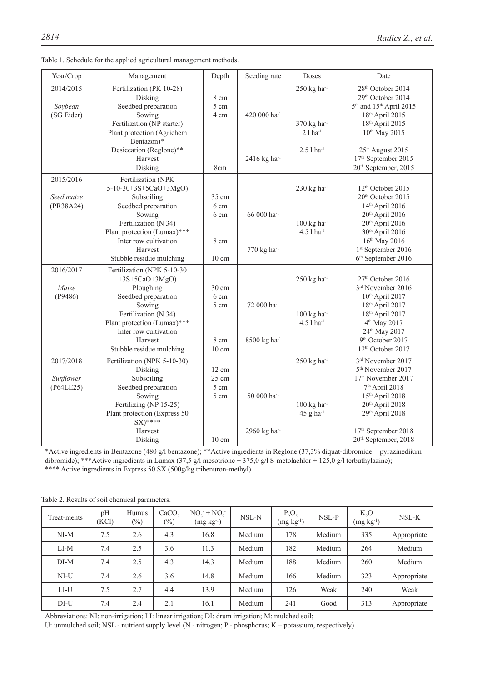| Year/Crop                            | Management                                                                                                                                                                                                         | Depth                                                       | Seeding rate                                                      | Doses                                                                                     | Date                                                                                                                                                                                                                                                                            |
|--------------------------------------|--------------------------------------------------------------------------------------------------------------------------------------------------------------------------------------------------------------------|-------------------------------------------------------------|-------------------------------------------------------------------|-------------------------------------------------------------------------------------------|---------------------------------------------------------------------------------------------------------------------------------------------------------------------------------------------------------------------------------------------------------------------------------|
| 2014/2015<br>Soybean<br>(SG Eider)   | Fertilization (PK 10-28)<br>Disking<br>Seedbed preparation<br>Sowing<br>Fertilization (NP starter)<br>Plant protection (Agrichem<br>Bentazon)*<br>Desiccation (Reglone)**<br>Harvest<br>Disking                    | 8 cm<br>5 cm<br>4 cm<br>8cm                                 | 420 000 ha <sup>-1</sup><br>2416 kg ha <sup>-1</sup>              | $250$ kg ha <sup>-1</sup><br>370 kg ha <sup>-1</sup><br>$21ha-1$<br>2.5 l ha-1            | 28 <sup>th</sup> October 2014<br>29th October 2014<br>5 <sup>th</sup> and 15 <sup>th</sup> April 2015<br>18th April 2015<br>18th April 2015<br>10 <sup>th</sup> May 2015<br>25 <sup>th</sup> August 2015<br>17 <sup>th</sup> September 2015<br>20 <sup>th</sup> September, 2015 |
| 2015/2016<br>Seed maize<br>(PR38A24) | Fertilization (NPK<br>5-10-30+3S+5CaO+3MgO)<br>Subsoiling<br>Seedbed preparation<br>Sowing<br>Fertilization (N 34)<br>Plant protection (Lumax)***<br>Inter row cultivation<br>Harvest<br>Stubble residue mulching  | 35 cm<br>6 cm<br>6 cm<br>8 cm<br>10 cm                      | 66 000 ha <sup>-1</sup><br>770 kg ha <sup>-1</sup>                | $230$ kg ha <sup>-1</sup><br>$100 \text{ kg} \text{ ha}^{-1}$<br>$4.51$ ha <sup>-1</sup>  | 12 <sup>th</sup> October 2015<br>20 <sup>th</sup> October 2015<br>14th April 2016<br>20 <sup>th</sup> April 2016<br>20th April 2016<br>30th April 2016<br>16th May 2016<br>1st September 2016<br>6 <sup>th</sup> September 2016                                                 |
| 2016/2017<br>Maize<br>(P9486)        | Fertilization (NPK 5-10-30<br>$+3S+5CaO+3MgO$<br>Ploughing<br>Seedbed preparation<br>Sowing<br>Fertilization (N 34)<br>Plant protection (Lumax)***<br>Inter row cultivation<br>Harvest<br>Stubble residue mulching | 30 cm<br>6 cm<br>5 cm<br>8 cm<br>10 cm                      | 72 000 ha <sup>-1</sup><br>8500 kg ha <sup>-1</sup>               | $250$ kg ha <sup>-1</sup><br>$100 \text{ kg} \text{ ha}^{-1}$<br>$4.5$ 1 ha <sup>-1</sup> | 27 <sup>th</sup> October 2016<br>3rd November 2016<br>10th April 2017<br>18th April 2017<br>18th April 2017<br>4 <sup>th</sup> May 2017<br>24th May 2017<br>9 <sup>th</sup> October 2017<br>12 <sup>th</sup> October 2017                                                       |
| 2017/2018<br>Sunflower<br>(P64LE25)  | Fertilization (NPK 5-10-30)<br>Disking<br>Subsoiling<br>Seedbed preparation<br>Sowing<br>Fertilizing (NP 15-25)<br>Plant protection (Express 50<br>$SX)****$<br>Harvest<br>Disking                                 | 12 cm<br>$25 \text{ cm}$<br>5 cm<br>5 cm<br>$10 \text{ cm}$ | 50 000 ha <sup>-1</sup><br>$2960~{\rm kg}~{\rm ha}^{\textrm{-1}}$ | $250$ kg ha <sup>-1</sup><br>$100 \text{ kg} \text{ ha}^{-1}$<br>$45$ g ha <sup>-1</sup>  | 3rd November 2017<br>5 <sup>th</sup> November 2017<br>17 <sup>th</sup> November 2017<br>7 <sup>th</sup> April 2018<br>15th April 2018<br>20 <sup>th</sup> April 2018<br>29th April 2018<br>17 <sup>th</sup> September 2018<br>20 <sup>th</sup> September, 2018                  |

|  |  | Table 1. Schedule for the applied agricultural management methods. |  |
|--|--|--------------------------------------------------------------------|--|
|  |  |                                                                    |  |

\*Active ingredients in Bentazone (480 g/l bentazone); \*\*Active ingredients in Reglone (37,3% diquat-dibromide + pyrazinediium dibromide); \*\*\*Active ingredients in Lumax (37,5 g/l mesotrione + 375,0 g/l S-metolachlor + 125,0 g/l terbuthylazine); \*\*\*\* Active ingredients in Express 50 SX (500g/kg tribenuron-methyl)

| Treat-ments | pH<br>(KCl) | Humus<br>$(\%)$ | CaCO <sub>2</sub><br>$\left(\frac{0}{0}\right)$ | $NO2 + NO2$<br>$(mg kg-1)$ | NSL-N  | $P_2O_5$<br>$(mg kg-1)$ | NSL-P  | $K_2O$<br>$(mg kg-1)$ | NSL-K       |
|-------------|-------------|-----------------|-------------------------------------------------|----------------------------|--------|-------------------------|--------|-----------------------|-------------|
| $NI-M$      | 7.5         | 2.6             | 4.3                                             | 16.8                       | Medium | 178                     | Medium | 335                   | Appropriate |
| $LI-M$      | 7.4         | 2.5             | 3.6                                             | 11.3                       | Medium | 182                     | Medium | 264                   | Medium      |
| $DI-M$      | 7.4         | 2.5             | 4.3                                             | 14.3                       | Medium | 188                     | Medium | 260                   | Medium      |
| $NI-U$      | 7.4         | 2.6             | 3.6                                             | 14.8                       | Medium | 166                     | Medium | 323                   | Appropriate |
| LI-U        | 7.5         | 2.7             | 4.4                                             | 13.9                       | Medium | 126                     | Weak   | 240                   | Weak        |
| $DI-U$      | 7.4         | 2.4             | 2.1                                             | 16.1                       | Medium | 241                     | Good   | 313                   | Appropriate |

Table 2. Results of soil chemical parameters.

Abbreviations: NI: non-irrigation; LI: linear irrigation; DI: drum irrigation; M: mulched soil;

U: unmulched soil; NSL - nutrient supply level (N - nitrogen; P - phosphorus; K – potassium, respectively)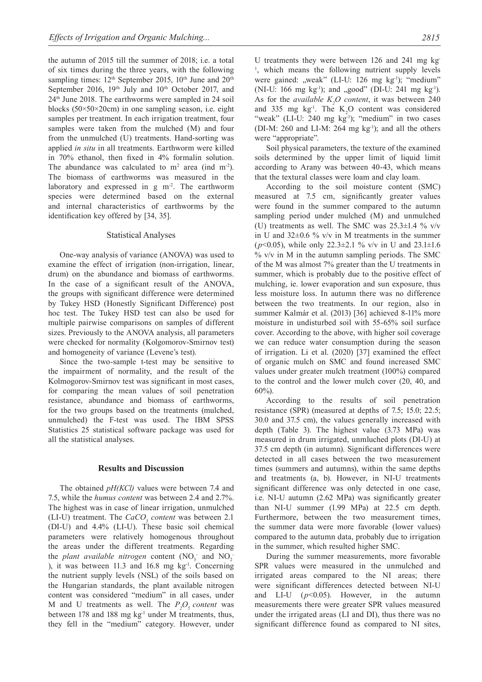the autumn of 2015 till the summer of 2018; i.e. a total of six times during the three years, with the following sampling times:  $12<sup>th</sup>$  September 2015,  $10<sup>th</sup>$  June and  $20<sup>th</sup>$ September 2016,  $19<sup>th</sup>$  July and  $10<sup>th</sup>$  October 2017, and 24th June 2018. The earthworms were sampled in 24 soil blocks (50×50×20cm) in one sampling season, i.e. eight samples per treatment. In each irrigation treatment, four samples were taken from the mulched (M) and four from the unmulched (U) treatments. Hand-sorting was applied *in situ* in all treatments. Earthworm were killed in 70% ethanol, then fixed in 4% formalin solution. The abundance was calculated to  $m^2$  area (ind  $m^2$ ). The biomass of earthworms was measured in the laboratory and expressed in g m<sup>-2</sup>. The earthworm species were determined based on the external and internal characteristics of earthworms by the identification key offered by [34, 35].

#### Statistical Analyses

One-way analysis of variance (ANOVA) was used to examine the effect of irrigation (non-irrigation, linear, drum) on the abundance and biomass of earthworms. In the case of a significant result of the ANOVA, the groups with significant difference were determined by Tukey HSD (Honestly Significant Difference) post hoc test. The Tukey HSD test can also be used for multiple pairwise comparisons on samples of different sizes. Previously to the ANOVA analysis, all parameters were checked for normality (Kolgomorov-Smirnov test) and homogeneity of variance (Levene's test).

Since the two-sample t-test may be sensitive to the impairment of normality, and the result of the Kolmogorov-Smirnov test was significant in most cases, for comparing the mean values of soil penetration resistance, abundance and biomass of earthworms, for the two groups based on the treatments (mulched, unmulched) the F-test was used. The IBM SPSS Statistics 25 statistical software package was used for all the statistical analyses.

### **Results and Discussion**

The obtained *pH(KCl)* values were between 7.4 and 7.5, while the *humus content* was between 2.4 and 2.7%. The highest was in case of linear irrigation, unmulched  $(LI-U)$  treatment. The *CaCO<sub>3</sub>* content was between 2.1 (DI-U) and 4.4% (LI-U). These basic soil chemical parameters were relatively homogenous throughout the areas under the different treatments. Regarding the *plant available nitrogen* content  $(NO_3^-$  and  $NO_2^-$ ), it was between  $11.3$  and  $16.8$  mg kg<sup>-1</sup>. Concerning the nutrient supply levels (NSL) of the soils based on the Hungarian standards, the plant available nitrogen content was considered "medium" in all cases, under M and U treatments as well. The  $P_2O_5$  content was between 178 and 188 mg kg<sup>-1</sup> under M treatments, thus, they fell in the "medium" category. However, under

U treatments they were between 126 and 241 mg kg-<sup>1</sup>, which means the following nutrient supply levels were gained: "weak" (LI-U: 126 mg kg<sup>-1</sup>); "medium" (NI-U: 166 mg kg<sup>-1</sup>); and "good" (DI-U: 241 mg kg<sup>-1</sup>). As for the *available*  $K_2O$  *content*, it was between 240 and 335 mg  $kg<sup>-1</sup>$ . The K<sub>2</sub>O content was considered "weak" (LI-U: 240 mg kg-1); "medium" in two cases (DI-M: 260 and LI-M: 264 mg kg-1); and all the others were "appropriate".

Soil physical parameters, the texture of the examined soils determined by the upper limit of liquid limit according to Arany was between 40-43, which means that the textural classes were loam and clay loam.

According to the soil moisture content (SMC) measured at 7.5 cm, significantly greater values were found in the summer compared to the autumn sampling period under mulched (M) and unmulched (U) treatments as well. The SMC was  $25.3\pm1.4$  % v/v in U and  $32\pm0.6$  % v/v in M treatments in the summer ( $p$ <0.05), while only 22.3 $\pm$ 2.1 % v/v in U and 23.1 $\pm$ 1.6  $\%$  v/v in M in the autumn sampling periods. The SMC of the M was almost 7% greater than the U treatments in summer, which is probably due to the positive effect of mulching, ie. lower evaporation and sun exposure, thus less moisture loss. In autumn there was no difference between the two treatments. In our region, also in summer Kalmár et al. (2013) [36] achieved 8-11% more moisture in undisturbed soil with 55-65% soil surface cover. According to the above, with higher soil coverage we can reduce water consumption during the season of irrigation. Li et al. (2020) [37] examined the effect of organic mulch on SMC and found increased SMC values under greater mulch treatment (100%) compared to the control and the lower mulch cover (20, 40, and 60%).

According to the results of soil penetration resistance (SPR) (measured at depths of 7.5; 15.0; 22.5; 30.0 and 37.5 cm), the values generally increased with depth (Table 3). The highest value (3.73 MPa) was measured in drum irrigated, unmluched plots (DI-U) at 37.5 cm depth (in autumn). Significant differences were detected in all cases between the two measurement times (summers and autumns), within the same depths and treatments (a, b). However, in NI-U treatments significant difference was only detected in one case, i.e. NI-U autumn (2.62 MPa) was significantly greater than NI-U summer (1.99 MPa) at 22.5 cm depth. Furthermore, between the two measurement times, the summer data were more favorable (lower values) compared to the autumn data, probably due to irrigation in the summer, which resulted higher SMC.

During the summer measurements, more favorable SPR values were measured in the unmulched and irrigated areas compared to the NI areas; there were significant differences detected between NI-U and LI-U (*p*<0.05). However, in the autumn measurements there were greater SPR values measured under the irrigated areas (LI and DI), thus there was no significant difference found as compared to NI sites,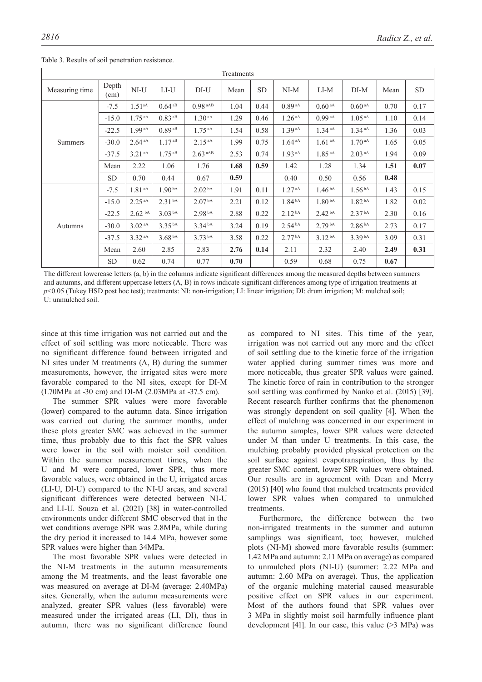| Treatments     |               |                      |                    |                       |      |           |                      |                     |                     |      |           |
|----------------|---------------|----------------------|--------------------|-----------------------|------|-----------|----------------------|---------------------|---------------------|------|-----------|
| Measuring time | Depth<br>(cm) | $NI-U$               | $LI-U$             | DI-U                  | Mean | <b>SD</b> | $NI-M$               | $LI-M$              | $DI-M$              | Mean | <b>SD</b> |
|                | $-7.5$        | $1.51^{aA}$          | $0.64^{aB}$        | $0.98$ aAB            | 1.04 | 0.44      | $0.89$ aA            | 0.60 <sup>~aA</sup> | 0.60 <sup>~aA</sup> | 0.70 | 0.17      |
|                | $-15.0$       | $1.75^{\text{aA}}$   | $0.83$ aB          | 1.30 <sup>aA</sup>    | 1.29 | 0.46      | $1.26$ <sup>aA</sup> | $0.99$ aA           | 1.05 <sup>~aA</sup> | 1.10 | 0.14      |
|                | $-22.5$       | $1.99$ aA            | $0.89$ aB          | $1.75^{aA}$           | 1.54 | 0.58      | 1.39 <sup>aA</sup>   | 1.34 <sup> aA</sup> | 1.34 <sup> aA</sup> | 1.36 | 0.03      |
| <b>Summers</b> | $-30.0$       | 2.64 <sup>~aA</sup>  | $1.17^{aB}$        | $2.15^{aA}$           | 1.99 | 0.75      | 1.64 <sup>~aA</sup>  | 1.61 <sup>~aA</sup> | 1.70 <sup>~aA</sup> | 1.65 | 0.05      |
|                | $-37.5$       | $3.21$ aA            | $1.75^{ab}$        | $2.63$ <sup>aAB</sup> | 2.53 | 0.74      | 1.93 <sup>~aA</sup>  | 1.85 <sup> aA</sup> | 2.03 <sup>~aA</sup> | 1.94 | 0.09      |
|                | Mean          | 2.22                 | 1.06               | 1.76                  | 1.68 | 0.59      | 1.42                 | 1.28                | 1.34                | 1.51 | 0.07      |
|                | SD.           | 0.70                 | 0.44               | 0.67                  | 0.59 |           | 0.40                 | 0.50                | 0.56                | 0.48 |           |
| Autumns        | $-7.5$        | 1.81 <sup>aA</sup>   | 1.90 <sup>bA</sup> | 2.02 <sup>bA</sup>    | 1.91 | 0.11      | 1.27 <sup>aA</sup>   | 1.46 <sup>bA</sup>  | 1.56 <sup>bA</sup>  | 1.43 | 0.15      |
|                | $-15.0$       | $2.25$ <sup>aA</sup> | 2.31 <sup>bA</sup> | 2.07 <sup>bA</sup>    | 2.21 | 0.12      | 1.84 <sup>bA</sup>   | 1.80 <sup>bA</sup>  | $1.82h{bA}$         | 1.82 | 0.02      |
|                | $-22.5$       | $2.62\text{ hA}$     | 3.03 <sup>bA</sup> | 2.98 bA               | 2.88 | 0.22      | 2.12 <sup>bA</sup>   | 2.42 <sup>bA</sup>  | 2.37 <sup>bA</sup>  | 2.30 | 0.16      |
|                | $-30.0$       | 3.02 <sup>~aA</sup>  | 3.35 <sup>bA</sup> | 3.34 <sup>bA</sup>    | 3.24 | 0.19      | 2.54 <sup>bA</sup>   | 2.79 <sup>bA</sup>  | 2.86 <sup>bA</sup>  | 2.73 | 0.17      |
|                | $-37.5$       | $3.32$ <sup>aA</sup> | 3.68 <sup>bA</sup> | 3.73h                 | 3.58 | 0.22      | 2.77 <sup> bA</sup>  | 3.12 <sup>bA</sup>  | 3.39 <sup>bA</sup>  | 3.09 | 0.31      |
|                | Mean          | 2.60                 | 2.85               | 2.83                  | 2.76 | 0.14      | 2.11                 | 2.32                | 2.40                | 2.49 | 0.31      |
|                | <b>SD</b>     | 0.62                 | 0.74               | 0.77                  | 0.70 |           | 0.59                 | 0.68                | 0.75                | 0.67 |           |

Table 3. Results of soil penetration resistance.

The different lowercase letters (a, b) in the columns indicate significant differences among the measured depths between summers and autumns, and different uppercase letters (A, B) in rows indicate significant differences among type of irrigation treatments at *p*<0.05 (Tukey HSD post hoc test); treatments: NI: non-irrigation; LI: linear irrigation; DI: drum irrigation; M: mulched soil; U: unmulched soil.

since at this time irrigation was not carried out and the effect of soil settling was more noticeable. There was no significant difference found between irrigated and NI sites under M treatments (A, B) during the summer measurements, however, the irrigated sites were more favorable compared to the NI sites, except for DI-M (1.70MPa at -30 cm) and DI-M (2.03MPa at -37.5 cm).

The summer SPR values were more favorable (lower) compared to the autumn data. Since irrigation was carried out during the summer months, under these plots greater SMC was achieved in the summer time, thus probably due to this fact the SPR values were lower in the soil with moister soil condition. Within the summer measurement times, when the U and M were compared, lower SPR, thus more favorable values, were obtained in the U, irrigated areas (LI-U, DI-U) compared to the NI-U areas, and several significant differences were detected between NI-U and LI-U. Souza et al. (2021) [38] in water-controlled environments under different SMC observed that in the wet conditions average SPR was 2.8MPa, while during the dry period it increased to 14.4 MPa, however some SPR values were higher than 34MPa.

The most favorable SPR values were detected in the NI-M treatments in the autumn measurements among the M treatments, and the least favorable one was measured on average at DI-M (average: 2.40MPa) sites. Generally, when the autumn measurements were analyzed, greater SPR values (less favorable) were measured under the irrigated areas (LI, DI), thus in autumn, there was no significant difference found as compared to NI sites. This time of the year, irrigation was not carried out any more and the effect of soil settling due to the kinetic force of the irrigation water applied during summer times was more and more noticeable, thus greater SPR values were gained. The kinetic force of rain in contribution to the stronger soil settling was confirmed by Nanko et al. (2015) [39]. Recent research further confirms that the phenomenon was strongly dependent on soil quality [4]. When the effect of mulching was concerned in our experiment in the autumn samples, lower SPR values were detected under M than under U treatments. In this case, the mulching probably provided physical protection on the soil surface against evapotranspiration, thus by the greater SMC content, lower SPR values were obtained. Our results are in agreement with Dean and Merry (2015) [40] who found that mulched treatments provided lower SPR values when compared to unmulched treatments.

Furthermore, the difference between the two non-irrigated treatments in the summer and autumn samplings was significant, too; however, mulched plots (NI-M) showed more favorable results (summer: 1.42 MPa and autumn: 2.11 MPa on average) as compared to unmulched plots (NI-U) (summer: 2.22 MPa and autumn: 2.60 MPa on average). Thus, the application of the organic mulching material caused measurable positive effect on SPR values in our experiment. Most of the authors found that SPR values over 3 MPa in slightly moist soil harmfully influence plant development [41]. In our case, this value (>3 MPa) was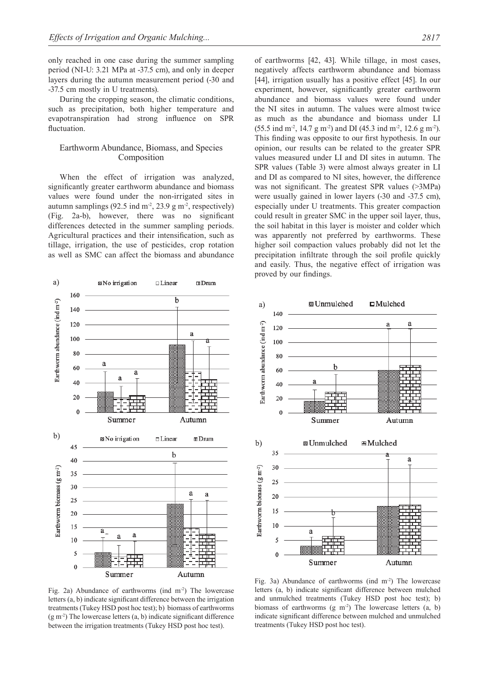only reached in one case during the summer sampling period (NI-U: 3.21 MPa at -37.5 cm), and only in deeper layers during the autumn measurement period (-30 and -37.5 cm mostly in U treatments).

During the cropping season, the climatic conditions, such as precipitation, both higher temperature and evapotranspiration had strong influence on SPR fluctuation.

# Earthworm Abundance, Biomass, and Species Composition

When the effect of irrigation was analyzed, significantly greater earthworm abundance and biomass values were found under the non-irrigated sites in autumn samplings (92.5 ind  $m<sup>2</sup>$ , 23.9 g m<sup>-2</sup>, respectively) (Fig. 2a-b), however, there was no significant differences detected in the summer sampling periods. Agricultural practices and their intensification, such as tillage, irrigation, the use of pesticides, crop rotation as well as SMC can affect the biomass and abundance

of earthworms [42, 43]. While tillage, in most cases, negatively affects earthworm abundance and biomass [44], irrigation usually has a positive effect [45]. In our experiment, however, significantly greater earthworm abundance and biomass values were found under the NI sites in autumn. The values were almost twice as much as the abundance and biomass under LI  $(55.5 \text{ ind } \text{m}^2, 14.7 \text{ g } \text{m}^2)$  and DI  $(45.3 \text{ ind } \text{m}^2, 12.6 \text{ g } \text{m}^2)$ . This finding was opposite to our first hypothesis. In our opinion, our results can be related to the greater SPR values measured under LI and DI sites in autumn. The SPR values (Table 3) were almost always greater in LI and DI as compared to NI sites, however, the difference was not significant. The greatest SPR values (>3MPa) were usually gained in lower layers (-30 and -37.5 cm), especially under U treatments. This greater compaction could result in greater SMC in the upper soil layer, thus, the soil habitat in this layer is moister and colder which was apparently not preferred by earthworms. These higher soil compaction values probably did not let the precipitation infiltrate through the soil profile quickly and easily. Thus, the negative effect of irrigation was proved by our findings.

**89 Unmulched** 

h

Summer

a)

Earthworm abundance (ind m-2)

140

 $120$ 

100

80

60

 $4($ 

20

 $\Omega$ 

 $\square$ Mulched

a

a

Autumn



**83** Unmulched  $\mathbf{H}$ Mulched  $\mathbf{b}$ 35 a 30 Earthworm biomass ( $g$  m<sup>-2</sup>) 25  $20$ 15  $10$ a  $\overline{\phantom{a}}$  $\theta$ Summer Autumn

Fig. 2a) Abundance of earthworms (ind m<sup>-2</sup>) The lowercase letters (a, b) indicate significant difference between the irrigation treatments (Tukey HSD post hoc test); b) biomass of earthworms (g m-2) The lowercase letters (a, b) indicate significant difference between the irrigation treatments (Tukey HSD post hoc test).

Fig. 3a) Abundance of earthworms (ind  $m<sup>2</sup>$ ) The lowercase letters (a, b) indicate significant difference between mulched and unmulched treatments (Tukey HSD post hoc test); b) biomass of earthworms  $(g \text{ m}^2)$  The lowercase letters  $(a, b)$ indicate significant difference between mulched and unmulched treatments (Tukey HSD post hoc test).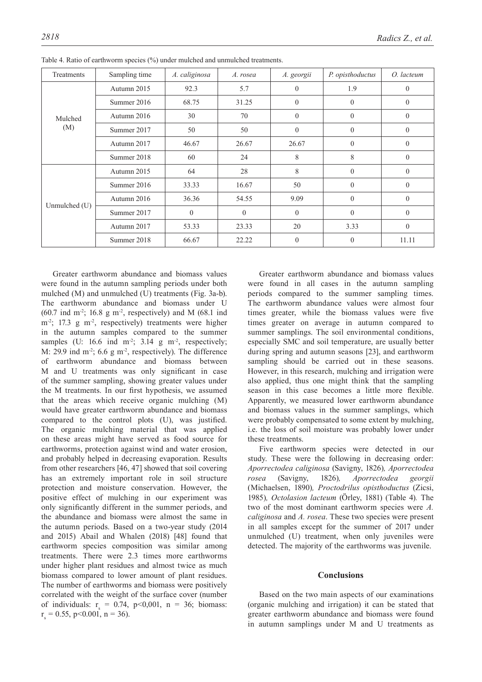| Treatments    | Sampling time | A. caliginosa | A. rosea | A. georgii     | P. opisthoductus | O. lacteum       |
|---------------|---------------|---------------|----------|----------------|------------------|------------------|
| Mulched       | Autumn 2015   | 92.3          | 5.7      | $\overline{0}$ | 1.9              | $\theta$         |
|               | Summer 2016   | 68.75         | 31.25    | $\mathbf{0}$   | $\theta$         | $\boldsymbol{0}$ |
|               | Autumn 2016   | 30            | 70       | $\theta$       | $\overline{0}$   | $\theta$         |
| (M)           | Summer 2017   | 50            | 50       | $\theta$       | $\theta$         | $\theta$         |
|               | Autumn 2017   | 46.67         | 26.67    | 26.67          | $\theta$         | $\theta$         |
|               | Summer 2018   | 60            | 24       | 8              | 8                | $\theta$         |
| Unmulched (U) | Autumn 2015   | 64            | 28       | 8              | $\theta$         | $\theta$         |
|               | Summer 2016   | 33.33         | 16.67    | 50             | $\mathbf{0}$     | $\theta$         |
|               | Autumn 2016   | 36.36         | 54.55    | 9.09           | $\theta$         | $\theta$         |
|               | Summer 2017   | $\theta$      | $\theta$ | $\theta$       | $\theta$         | $\theta$         |
|               | Autumn 2017   | 53.33         | 23.33    | 20             | 3.33             | $\theta$         |
|               | Summer 2018   | 66.67         | 22.22    | $\theta$       | $\theta$         | 11.11            |

Table 4. Ratio of earthworm species (%) under mulched and unmulched treatments.

Greater earthworm abundance and biomass values were found in the autumn sampling periods under both mulched (M) and unmulched (U) treatments (Fig. 3a-b). The earthworm abundance and biomass under U  $(60.7 \text{ ind } \text{m}^2)$ ; 16.8 g m<sup>-2</sup>, respectively) and M (68.1 ind  $m<sup>2</sup>$ ; 17.3 g m<sup>-2</sup>, respectively) treatments were higher in the autumn samples compared to the summer samples (U:  $16.6$  ind m<sup>-2</sup>;  $3.14$  g m<sup>-2</sup>, respectively; M: 29.9 ind  $m^2$ ; 6.6 g  $m^2$ , respectively). The difference earthworm abundance and biomass between M and U treatments was only significant in case of the summer sampling, showing greater values under the M treatments. In our first hypothesis, we assumed that the areas which receive organic mulching (M) would have greater earthworm abundance and biomass compared to the control plots (U), was justified. The organic mulching material that was applied on these areas might have served as food source for earthworms, protection against wind and water erosion, and probably helped in decreasing evaporation. Results from other researchers [46, 47] showed that soil covering has an extremely important role in soil structure protection and moisture conservation. However, the positive effect of mulching in our experiment was only significantly different in the summer periods, and the abundance and biomass were almost the same in the autumn periods. Based on a two-year study (2014 and 2015) Abail and Whalen (2018) [48] found that earthworm species composition was similar among treatments. There were 2.3 times more earthworms under higher plant residues and almost twice as much biomass compared to lower amount of plant residues. The number of earthworms and biomass were positively correlated with the weight of the surface cover (number of individuals:  $r_s = 0.74$ , p<0,001, n = 36; biomass:  $r_s = 0.55$ , p<0.001, n = 36).

Greater earthworm abundance and biomass values were found in all cases in the autumn sampling periods compared to the summer sampling times. The earthworm abundance values were almost four times greater, while the biomass values were five times greater on average in autumn compared to summer samplings. The soil environmental conditions, especially SMC and soil temperature, are usually better during spring and autumn seasons [23], and earthworm sampling should be carried out in these seasons. However, in this research, mulching and irrigation were also applied, thus one might think that the sampling season in this case becomes a little more flexible. Apparently, we measured lower earthworm abundance and biomass values in the summer samplings, which were probably compensated to some extent by mulching, i.e. the loss of soil moisture was probably lower under these treatments.

Five earthworm species were detected in our study. These were the following in decreasing order: *Aporrectodea caliginosa* (Savigny, 1826)*, Aporrectodea rosea* (Savigny, 1826)*, Aporrectodea georgii*  (Michaelsen, 1890)*, Proctodrilus opisthoductus* (Zicsi, 1985)*, Octolasion lacteum* (Örley, 1881) (Table 4)*.* The two of the most dominant earthworm species were *A. caliginosa* and *A. rosea*. These two species were present in all samples except for the summer of 2017 under unmulched (U) treatment, when only juveniles were detected. The majority of the earthworms was juvenile.

# **Conclusions**

Based on the two main aspects of our examinations (organic mulching and irrigation) it can be stated that greater earthworm abundance and biomass were found in autumn samplings under M and U treatments as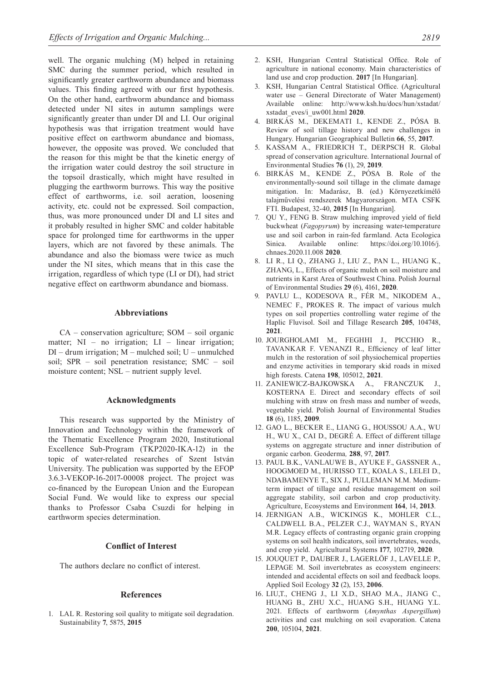well. The organic mulching (M) helped in retaining SMC during the summer period, which resulted in significantly greater earthworm abundance and biomass values. This finding agreed with our first hypothesis. On the other hand, earthworm abundance and biomass detected under NI sites in autumn samplings were significantly greater than under DI and LI. Our original hypothesis was that irrigation treatment would have positive effect on earthworm abundance and biomass, however, the opposite was proved. We concluded that the reason for this might be that the kinetic energy of the irrigation water could destroy the soil structure in the topsoil drastically, which might have resulted in plugging the earthworm burrows. This way the positive effect of earthworms, i.e. soil aeration, loosening activity, etc. could not be expressed. Soil compaction, thus, was more pronounced under DI and LI sites and it probably resulted in higher SMC and colder habitable space for prolonged time for earthworms in the upper layers, which are not favored by these animals. The abundance and also the biomass were twice as much under the NI sites, which means that in this case the irrigation, regardless of which type (LI or DI), had strict negative effect on earthworm abundance and biomass.

#### **Abbreviations**

CA – conservation agriculture; SOM – soil organic matter;  $NI - no irrigation$ ;  $LI - linear irrigation$ ;  $DI - drum$  irrigation;  $M - multhed$  soil;  $U - unmulted$ soil; SPR – soil penetration resistance; SMC – soil moisture content; NSL – nutrient supply level.

#### **Acknowledgments**

This research was supported by the Ministry of Innovation and Technology within the framework of the Thematic Excellence Program 2020, Institutional Excellence Sub-Program (TKP2020-IKA-12) in the topic of water-related researches of Szent István University. The publication was supported by the EFOP 3.6.3-VEKOP-16-2017-00008 project. The project was co-financed by the European Union and the European Social Fund. We would like to express our special thanks to Professor Csaba Csuzdi for helping in earthworm species determination.

# **Conflict of Interest**

The authors declare no conflict of interest.

#### **References**

1. LAL R. Restoring soil quality to mitigate soil degradation. Sustainability **7**, 5875, **2015**

- 2. KSH, Hungarian Central Statistical Office. Role of agriculture in national economy. Main characteristics of land use and crop production. **2017** [In Hungarian].
- 3. KSH, Hungarian Central Statistical Office. (Agricultural water use – General Directorate of Water Management) Available online: http://www.ksh.hu/docs/hun/xstadat/ xstadat\_eves/i\_uw001.html **2020**.
- 4. BIRKÁS M., DEKEMATI I., KENDE Z., PÓSA B. Review of soil tillage history and new challenges in Hungary. Hungarian Geographical Bulletin **66**, 55, **2017**.
- 5. KASSAM A., FRIEDRICH T., DERPSCH R. Global spread of conservation agriculture. International Journal of Environmental Studies **76** (1), 29, **2019**.
- 6. BIRKÁS M., KENDE Z., PÓSA B. Role of the environmentally-sound soil tillage in the climate damage mitigation. In: Madarász, B. (ed.) Környezetkímélő talajművelési rendszerek Magyarországon. MTA CSFK FTI. Budapest, 32-40, **2015** [In Hungarian].
- 7. QU Y., FENG B. Straw mulching improved yield of field buckwheat (*Fagopyrum*) by increasing water-temperature use and soil carbon in rain-fed farmland. Acta Ecologica Sinica. Available online: https://doi.org/10.1016/j. chnaes.2020.11.008 **2020**.
- 8. LI R., LI Q., ZHANG J., LIU Z., PAN L., HUANG K., ZHANG, L., Effects of organic mulch on soil moisture and nutrients in Karst Area of Southwest China. Polish Journal of Environmental Studies **29** (6), 4161, **2020**.
- 9. PAVLU L., KODESOVA R., FÉR M., NIKODEM A., NEMEC F., PROKES R. The impact of various mulch types on soil properties controlling water regime of the Haplic Fluvisol. Soil and Tillage Research **205**, 104748, **2021**.
- 10. JOURGHOLAMI M., FEGHHI J., PICCHIO R., TAVANKAR F. VENANZI R., Efficiency of leaf litter mulch in the restoration of soil physiochemical properties and enzyme activities in temporary skid roads in mixed high forests. Catena **198**, 105012, **2021**.
- 11. ZANIEWICZ-BAJKOWSKA A., FRANCZUK J., KOSTERNA E. Direct and secondary effects of soil mulching with straw on fresh mass and number of weeds, vegetable yield. Polish Journal of Environmental Studies **18** (6), 1185, **2009**.
- 12. GAO L., BECKER E., LIANG G., HOUSSOU A.A., WU H., WU X., CAI D., DEGRÉ A. Effect of different tillage systems on aggregate structure and inner distribution of organic carbon. Geoderma*,* **288**, 97, **2017**.
- 13. PAUL B.K., VANLAUWE B., AYUKE F., GASSNER A., HOOGMOED M., HURISSO T.T., KOALA S., LELEI D., NDABAMENYE T., SIX J., PULLEMAN M.M. Mediumterm impact of tillage and residue management on soil aggregate stability, soil carbon and crop productivity. Agriculture, Ecosystems and Environment **164**, 14, **2013**.
- 14. JERNIGAN A.B., WICKINGS K., MOHLER C.L., CALDWELL B.A., PELZER C.J., WAYMAN S., RYAN M.R. Legacy effects of contrasting organic grain cropping systems on soil health indicators, soil invertebrates, weeds, and crop yield. Agricultural Systems **177**, 102719, **2020**.
- 15. JOUQUET P., DAUBER J., LAGERLÖF J., LAVELLE P., LEPAGE M. Soil invertebrates as ecosystem engineers: intended and accidental effects on soil and feedback loops. Applied Soil Ecology **32** (2), 153, **2006**.
- 16. LIU,T., CHENG J., LI X.D., SHAO M.A., JIANG C., HUANG B., ZHU X.C., HUANG S.H., HUANG Y.L. 2021. Effects of earthworm (*Amynthas Aspergillum*) activities and cast mulching on soil evaporation. Catena **200**, 105104, **2021**.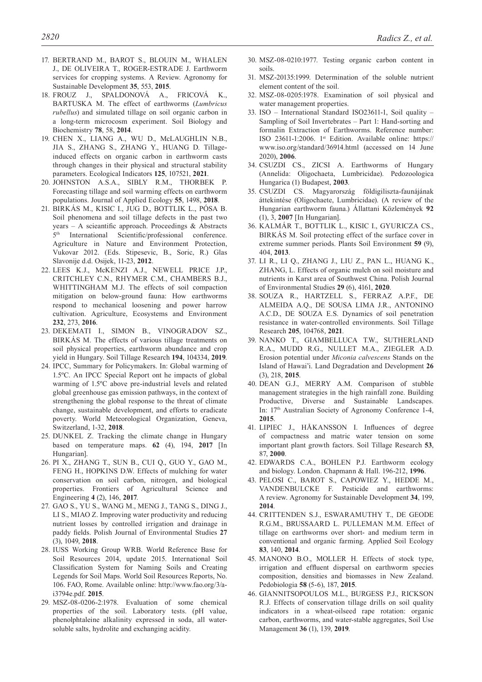- 17. BERTRAND M., BAROT S., BLOUIN M., WHALEN J., DE OLIVEIRA T., ROGER-ESTRADE J. Earthworm services for cropping systems. A Review. Agronomy for Sustainable Development **35**, 553, **2015**.
- 18. FROUZ J., SPALDONOVÁ A., FRICOVÁ K., BARTUSKA M. The effect of earthworms (*Lumbricus rubellus*) and simulated tillage on soil organic carbon in a long-term microcosm experiment. Soil Biology and Biochemistry **78**, 58, **2014**.
- 19. CHEN X., LIANG A., WU D., McLAUGHLIN N.B., JIA S., ZHANG S., ZHANG Y., HUANG D. Tillageinduced effects on organic carbon in earthworm casts through changes in their physical and structural stability parameters. Ecological Indicators **125**, 107521, **2021**.
- 20. JOHNSTON A.S.A., SIBLY R.M., THORBEK P. Forecasting tillage and soil warming effects on earthworm populations. Journal of Applied Ecology **55**, 1498, **2018**.
- 21. BIRKÁS M., KISIC I., JUG D., BOTTLIK L., PÓSA B. Soil phenomena and soil tillage defects in the past two years – A scieantific approach. Proceedings & Abstracts 5<sup>th</sup> International Scientific/professional conference. Agriculture in Nature and Environment Protection, Vukovar 2012. (Eds. Stipesevic, B., Soric, R.) Glas Slavonije d.d. Osijek, 11-23, **2012**.
- 22. LEES K.J., McKENZI A.J., NEWELL PRICE J.P., CRITCHLEY C.N., RHYMER C.M., CHAMBERS B.J., WHITTINGHAM M.J. The effects of soil compaction mitigation on below-ground fauna: How earthworms respond to mechanical loosening and power harrow cultivation. Agriculture, Ecosystems and Environment **232**, 273, **2016**.
- 23. DEKEMATI I., SIMON B., VINOGRADOV SZ., BIRKÁS M. The effects of various tillage treatments on soil physical properties, earthworm abundance and crop yield in Hungary. Soil Tillage Research **194**, 104334, **2019**.
- 24. IPCC, Summary for Policymakers. In: Global warming of 1.5ºC. An IPCC Special Report ont he impacts of global warming of 1.5ºC above pre-industrial levels and related global greenhouse gas emission pathways, in the context of strengthening the global response to the threat of climate change, sustainable development, and efforts to eradicate poverty. World Meteorological Organization, Geneva, Switzerland, 1-32, **2018**.
- 25. DUNKEL Z. Tracking the climate change in Hungary based on temperature maps. **62** (4), 194, **2017** [In Hungarian].
- 26. PI X., ZHANG T., SUN B., CUI Q., GUO Y., GAO M., FENG H., HOPKINS D.W. Effects of mulching for water conservation on soil carbon, nitrogen, and biological properties. Frontiers of Agricultural Science and Engineering **4** (2), 146, **2017**.
- 27. GAO S., YU S., WANG M., MENG J., TANG S., DING J., LI S., MIAO Z. Improving water productivity and reducing nutrient losses by controlled irrigation and drainage in paddy fields. Polish Journal of Environmental Studies **27**  (3), 1049, **2018**.
- 28. IUSS Working Group WRB. World Reference Base for Soil Resources 2014, update 2015. International Soil Classification System for Naming Soils and Creating Legends for Soil Maps. World Soil Resources Reports, No. 106. FAO, Rome. Available online: http://www.fao.org/3/ai3794e.pdf. **2015**.
- 29. MSZ-08-0206-2:1978. Evaluation of some chemical properties of the soil. Laboratory tests. (pH value, phenolphtaleine alkalinity expressed in soda, all watersoluble salts, hydrolite and exchanging acidity.
- 30. MSZ-08-0210:1977. Testing organic carbon content in soils.
- 31. MSZ-20135:1999. Determination of the soluble nutrient element content of the soil.
- 32. MSZ-08-0205:1978. Examination of soil physical and water management properties.
- 33. ISO International Standard ISO23611-1, Soil quality Sampling of Soil Invertebrates – Part 1: Hand-sorting and formalin Extraction of Earthworms. Reference number: ISO 23611-1:2006. 1st Edition. Available online: https:// www.iso.org/standard/36914.html (accessed on 14 June 2020), **2006**.
- 34. CSUZDI CS., ZICSI A. Earthworms of Hungary (Annelida: Oligochaeta, Lumbricidae). Pedozoologica Hungarica (1) Budapest, **2003**.
- 35. CSUZDI CS. Magyarország földigiliszta-faunájának áttekintése (Oligochaete, Lumbricidae). (A review of the Hungarian earthworm fauna.) Állattani Közlemények **92**  (1), 3, **2007** [In Hungarian].
- 36. KALMÁR T., BOTTLIK L., KISIC I., GYURICZA CS., BIRKÁS M. Soil protecting effect of the surface cover in extreme summer periods. Plants Soil Environment **59** (9), 404, **2013**.
- 37. LI R., LI Q., ZHANG J., LIU Z., PAN L., HUANG K., ZHANG, L. Effects of organic mulch on soil moisture and nutrients in Karst area of Southwest China. Polish Journal of Environmental Studies **29** (6), 4161, **2020**.
- 38. SOUZA R., HARTZELL S., FERRAZ A.P.F., DE ALMEIDA A.Q., DE SOUSA LIMA J.R., ANTONINO A.C.D., DE SOUZA E.S. Dynamics of soil penetration resistance in water-controlled environments. Soil Tillage Research **205**, 104768, **2021**.
- 39. NANKO T., GIAMBELLUCA T.W., SUTHERLAND R.A., MUDD R.G., NULLET M.A., ZIEGLER A.D. Erosion potential under *Miconia calvescens* Stands on the Island of Hawai'i. Land Degradation and Development **26**  (3), 218, **2015**.
- 40. DEAN G.J., MERRY A.M. Comparison of stubble management strategies in the high rainfall zone. Building Productive, Diverse and Sustainable Landscapes. In: 17th Australian Society of Agronomy Conference 1-4, **2015**.
- 41. LIPIEC J., HÅKANSSON I. Influences of degree of compactness and matric water tension on some important plant growth factors. Soil Tillage Research **53**, 87, **2000**.
- 42. EDWARDS C.A., BOHLEN P.J. Earthworm ecology and biology. London. Chapmann & Hall. 196-212, **1996**.
- 43. PELOSI C., BAROT S., CAPOWIEZ Y., HEDDE M., VANDENBULCKE F. Pesticide and earthworms: A review. Agronomy for Sustainable Development **34**, 199, **2014**.
- 44. CRITTENDEN S.J., ESWARAMUTHY T., DE GEODE R.G.M., BRUSSAARD L. PULLEMAN M.M. Effect of tillage on earthworms over short- and medium term in conventional and organic farming. Applied Soil Ecology **83**, 140, **2014**.
- 45. MANONO B.O., MOLLER H. Effects of stock type, irrigation and effluent dispersal on earthworm species composition, densities and biomasses in New Zealand. Pedobiologia **58** (5-6), 187, **2015**.
- 46. GIANNITSOPOULOS M.L., BURGESS P.J., RICKSON R.J. Effects of conservation tillage drills on soil quality indicators in a wheat-oilseed rape rotation: organic carbon, earthworms, and water-stable aggregates, Soil Use Management **36** (1), 139, **2019**.